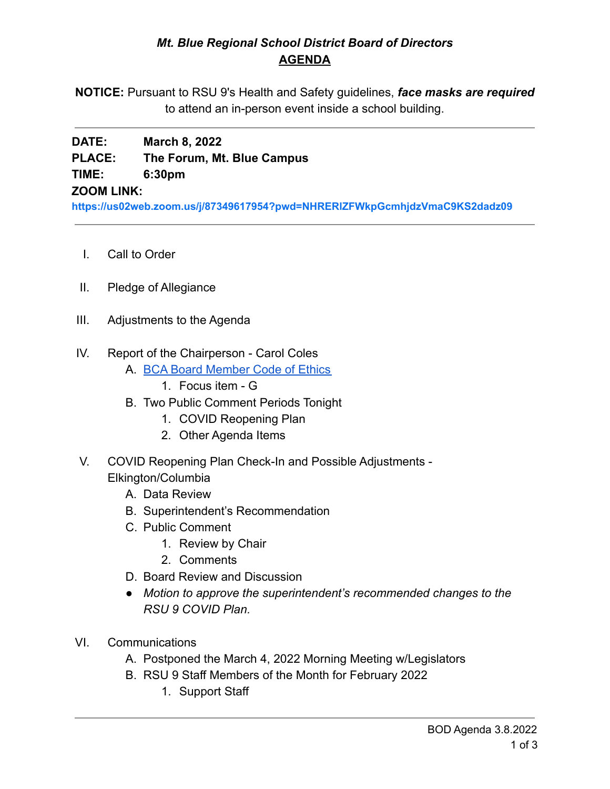### *Mt. Blue Regional School District Board of Directors* **AGENDA**

**NOTICE:** Pursuant to RSU 9's Health and Safety guidelines, *face masks are required* to attend an in-person event inside a school building.

# **DATE: March 8, 2022 PLACE: The Forum, Mt. Blue Campus TIME: 6:30pm**

### **ZOOM LINK:**

**<https://us02web.zoom.us/j/87349617954?pwd=NHRERlZFWkpGcmhjdzVmaC9KS2dadz09>**

- I. Call to Order
- II. Pledge of Allegiance
- III. Adjustments to the Agenda
- IV. Report of the Chairperson Carol Coles
	- A. [BCA Board Member Code of Ethics](https://cdn.branchcms.com/yeQ4XpK43n-1155/docs/district/board-of-directors/policy-manual/section-b/BCA-Board-Member-Code-of-Ethics.pdf)
		- 1. Focus item G
	- B. Two Public Comment Periods Tonight
		- 1. COVID Reopening Plan
		- 2. Other Agenda Items
- V. COVID Reopening Plan Check-In and Possible Adjustments Elkington/Columbia
	- A. Data Review
	- B. Superintendent's Recommendation
	- C. Public Comment
		- 1. Review by Chair
		- 2. Comments
	- D. Board Review and Discussion
	- *● Motion to approve the superintendent's recommended changes to the RSU 9 COVID Plan.*
- VI. Communications
	- A. Postponed the March 4, 2022 Morning Meeting w/Legislators
	- B. RSU 9 Staff Members of the Month for February 2022
		- 1. Support Staff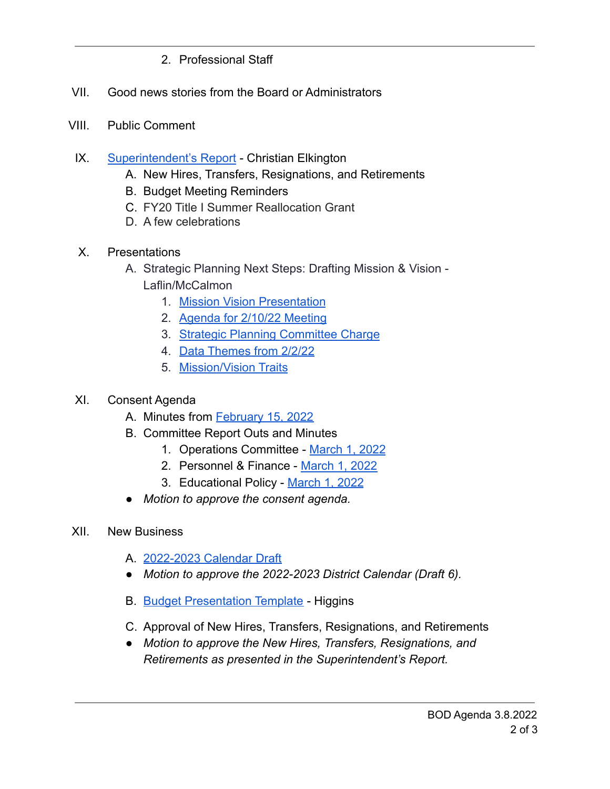- 2. Professional Staff
- VII. Good news stories from the Board or Administrators
- VIII. Public Comment
	- IX. [Superintendent's Report](https://drive.google.com/file/d/1GOBk2jkElI061g90XJBipK0S0Ba-oXhh/view?usp=sharing9ScyPJ11roCaeKn1L8hT8/edit?usp=sharing) Christian Elkington
		- A. New Hires, Transfers, Resignations, and Retirements
		- B. Budget Meeting Reminders
		- C. FY20 Title I Summer Reallocation Grant
		- D. A few celebrations
	- X. Presentations
		- A. Strategic Planning Next Steps: Drafting Mission & Vision Laflin/McCalmon
			- 1. [Mission Vision Presentation](https://drive.google.com/file/d/1iLnFiG9tbeC3XCzJGpcRkjwZQzvmTcqZ/view?usp=sharing)
			- 2. [Agenda for 2/10/22 Meeting](https://drive.google.com/file/d/1bVlou3whYGBo4XNjTg3KcAVcqq_7gylZ/view?usp=sharing)
			- 3. [Strategic Planning Committee Charge](https://drive.google.com/file/d/1gt3MxQxyViMUaAr7OBsniUFrzuE4r8cl/view?usp=sharing)
			- 4. [Data Themes from 2/2/22](https://drive.google.com/file/d/187PRUUuK87O4eLk7e6XCm79leSOwWyEi/view?usp=sharing)
			- 5. [Mission/Vision Traits](https://drive.google.com/file/d/10x542xZ52SYr9Fm_3d72FfaWm8m1FGQw/view?usp=sharing)

## XI. Consent Agenda

- A. Minutes from [February 15, 2022](https://drive.google.com/file/d/1jl5vyke7qCAURJ2aWPN7BVI6ByUKcDXj/view?usp=sharing)
- B. Committee Report Outs and Minutes
	- 1. Operations Committee [March 1, 2022](https://drive.google.com/file/d/1HUXc7HCBqABMfOyiwZNyQXGgFjPEov5b/view?usp=sharing)
	- 2. Personnel & Finance [March 1, 2022](https://drive.google.com/file/d/1s2Tp9nftC7iRDFwG7eclQ8H2xlm1nvaG/view?usp=sharing)
	- 3. Educational Policy [March 1, 2022](https://drive.google.com/file/d/1RrHAGUJq8T0OF5gMTGNQ2_sOgWMbIWVH/view?usp=sharing)
- *Motion to approve the consent agenda.*
- XII. New Business
	- A. [2022-2023 Calendar Draft](https://drive.google.com/file/d/1w0ROCyhy2nDwaPZqj-tdcCZ7l388cxvU/view?usp=sharing)
	- *● Motion to approve the 2022-2023 District Calendar (Draft 6).*
	- B. [Budget Presentation Template](https://drive.google.com/file/d/1vBZ3AakhtJ0j5WoD_JlFBBqO-XgCY-rh/view?usp=sharing) Higgins
	- C. Approval of New Hires, Transfers, Resignations, and Retirements
	- *● Motion to approve the New Hires, Transfers, Resignations, and Retirements as presented in the Superintendent's Report.*